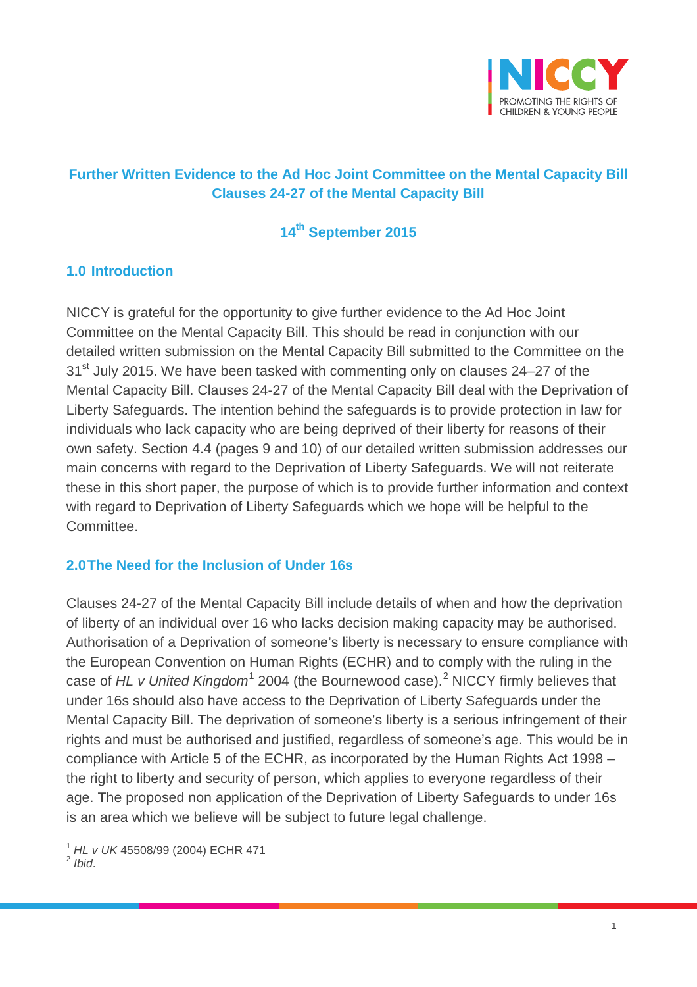

# **Further Written Evidence to the Ad Hoc Joint Committee on the Mental Capacity Bill Clauses 24-27 of the Mental Capacity Bill**

# **14th September 2015**

#### **1.0 Introduction**

NICCY is grateful for the opportunity to give further evidence to the Ad Hoc Joint Committee on the Mental Capacity Bill. This should be read in conjunction with our detailed written submission on the Mental Capacity Bill submitted to the Committee on the 31<sup>st</sup> July 2015. We have been tasked with commenting only on clauses 24–27 of the Mental Capacity Bill. Clauses 24-27 of the Mental Capacity Bill deal with the Deprivation of Liberty Safeguards. The intention behind the safeguards is to provide protection in law for individuals who lack capacity who are being deprived of their liberty for reasons of their own safety. Section 4.4 (pages 9 and 10) of our detailed written submission addresses our main concerns with regard to the Deprivation of Liberty Safeguards. We will not reiterate these in this short paper, the purpose of which is to provide further information and context with regard to Deprivation of Liberty Safeguards which we hope will be helpful to the Committee.

#### **2.0The Need for the Inclusion of Under 16s**

Clauses 24-27 of the Mental Capacity Bill include details of when and how the deprivation of liberty of an individual over 16 who lacks decision making capacity may be authorised. Authorisation of a Deprivation of someone's liberty is necessary to ensure compliance with the European Convention on Human Rights (ECHR) and to comply with the ruling in the case of HL v United Kingdom<sup>[1](#page-0-0)</sup> [2](#page-0-1)004 (the Bournewood case).<sup>2</sup> NICCY firmly believes that under 16s should also have access to the Deprivation of Liberty Safeguards under the Mental Capacity Bill. The deprivation of someone's liberty is a serious infringement of their rights and must be authorised and justified, regardless of someone's age. This would be in compliance with Article 5 of the ECHR, as incorporated by the Human Rights Act 1998 – the right to liberty and security of person, which applies to everyone regardless of their age. The proposed non application of the Deprivation of Liberty Safeguards to under 16s is an area which we believe will be subject to future legal challenge.

<span id="page-0-0"></span><sup>1</sup> *HL v UK* 45508/99 (2004) ECHR 471

<span id="page-0-1"></span><sup>2</sup> *Ibid*.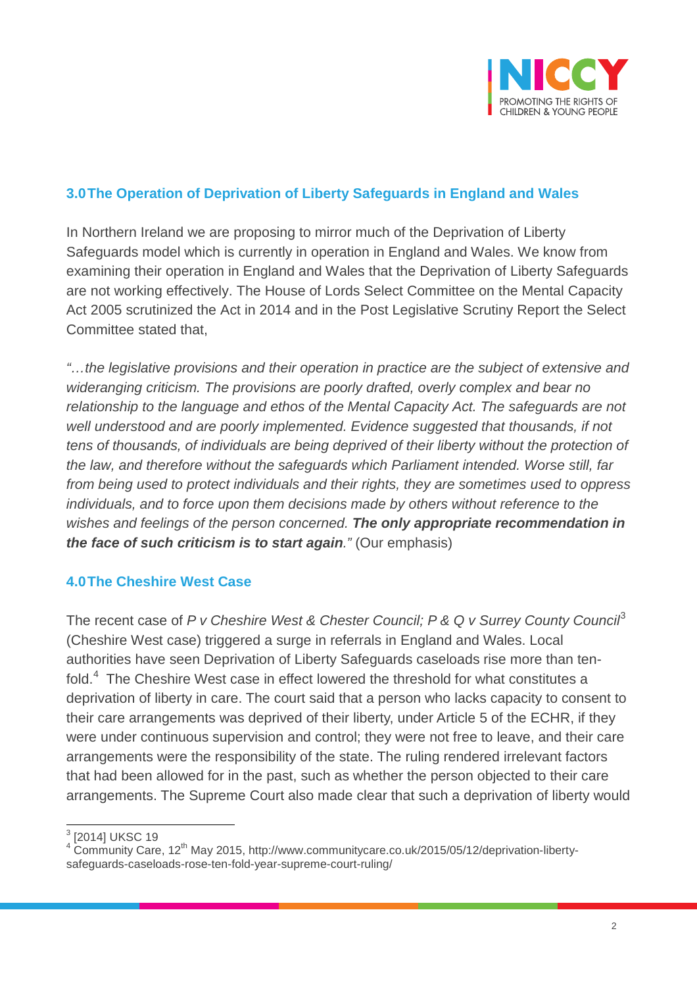

### **3.0The Operation of Deprivation of Liberty Safeguards in England and Wales**

In Northern Ireland we are proposing to mirror much of the Deprivation of Liberty Safeguards model which is currently in operation in England and Wales. We know from examining their operation in England and Wales that the Deprivation of Liberty Safeguards are not working effectively. The House of Lords Select Committee on the Mental Capacity Act 2005 scrutinized the Act in 2014 and in the Post Legislative Scrutiny Report the Select Committee stated that,

*"…the legislative provisions and their operation in practice are the subject of extensive and wideranging criticism. The provisions are poorly drafted, overly complex and bear no relationship to the language and ethos of the Mental Capacity Act. The safeguards are not*  well understood and are poorly implemented. Evidence suggested that thousands, if not *tens of thousands, of individuals are being deprived of their liberty without the protection of the law, and therefore without the safeguards which Parliament intended. Worse still, far from being used to protect individuals and their rights, they are sometimes used to oppress individuals, and to force upon them decisions made by others without reference to the wishes and feelings of the person concerned. The only appropriate recommendation in the face of such criticism is to start again."* (Our emphasis)

#### **4.0The Cheshire West Case**

The recent case of *P v Cheshire West & Chester Council; P & Q v Surrey County Council*<sup>[3](#page-1-0)</sup> (Cheshire West case) triggered a surge in referrals in England and Wales. Local authorities have seen Deprivation of Liberty Safeguards caseloads rise more than tenfold. $4$  The Cheshire West case in effect lowered the threshold for what constitutes a deprivation of liberty in care. The court said that a person who lacks capacity to consent to their care arrangements was deprived of their liberty, under Article 5 of the ECHR, if they were under continuous supervision and control; they were not free to leave, and their care arrangements were the responsibility of the state. The ruling rendered irrelevant factors that had been allowed for in the past, such as whether the person objected to their care arrangements. The Supreme Court also made clear that such a deprivation of liberty would

<span id="page-1-0"></span><sup>3</sup> [2014] UKSC 19

<span id="page-1-1"></span><sup>&</sup>lt;sup>4</sup> Community Care, 12<sup>th</sup> May 2015, http://www.communitycare.co.uk/2015/05/12/deprivation-libertysafeguards-caseloads-rose-ten-fold-year-supreme-court-ruling/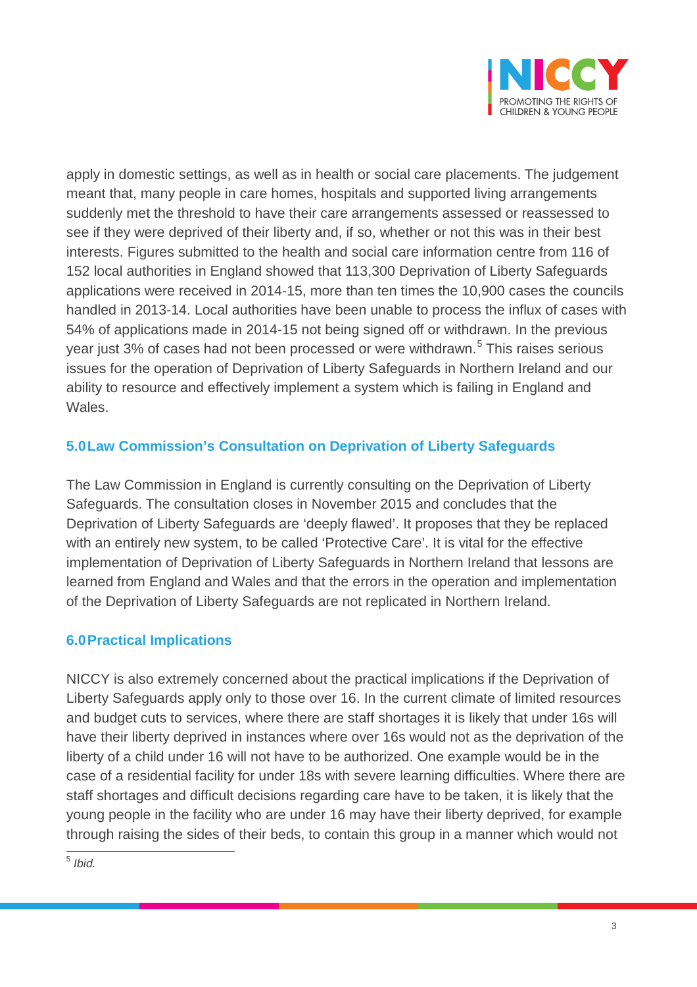

apply in domestic settings, as well as in health or social care placements. The judgement meant that, many people in care homes, hospitals and supported living arrangements suddenly met the threshold to have their care arrangements assessed or reassessed to see if they were deprived of their liberty and, if so, whether or not this was in their best interests. Figures submitted to the health and social care [information](http://www.hscic.gov.uk/catalogue/PUB17509/dols-q4-1415-keyfindings-DQ.pdf) centre from 116 of 152 local authorities in England showed that 113,300 Deprivation of Liberty Safeguards applications were received in 2014-15, more than ten times the 10,900 cases the councils handled in 2013-14. Local authorities have been unable to process the influx of cases with 54% of applications made in 2014-15 not being signed off or withdrawn. In the previous year just 3% of cases had not been processed or were withdrawn.<sup>[5](#page-2-0)</sup> This raises serious issues for the operation of Deprivation of Liberty Safeguards in Northern Ireland and our ability to resource and effectively implement a system which is failing in England and Wales.

# **5.0Law Commission's Consultation on Deprivation of Liberty Safeguards**

The Law Commission in England is currently consulting on the Deprivation of Liberty Safeguards. The consultation closes in November 2015 and concludes that the Deprivation of Liberty Safeguards are 'deeply flawed'. It proposes that they be replaced with an entirely new system, to be called 'Protective Care'. It is vital for the effective implementation of Deprivation of Liberty Safeguards in Northern Ireland that lessons are learned from England and Wales and that the errors in the operation and implementation of the Deprivation of Liberty Safeguards are not replicated in Northern Ireland.

# **6.0Practical Implications**

NICCY is also extremely concerned about the practical implications if the Deprivation of Liberty Safeguards apply only to those over 16. In the current climate of limited resources and budget cuts to services, where there are staff shortages it is likely that under 16s will have their liberty deprived in instances where over 16s would not as the deprivation of the liberty of a child under 16 will not have to be authorized. One example would be in the case of a residential facility for under 18s with severe learning difficulties. Where there are staff shortages and difficult decisions regarding care have to be taken, it is likely that the young people in the facility who are under 16 may have their liberty deprived, for example through raising the sides of their beds, to contain this group in a manner which would not

<span id="page-2-0"></span><sup>5</sup> *Ibid.*